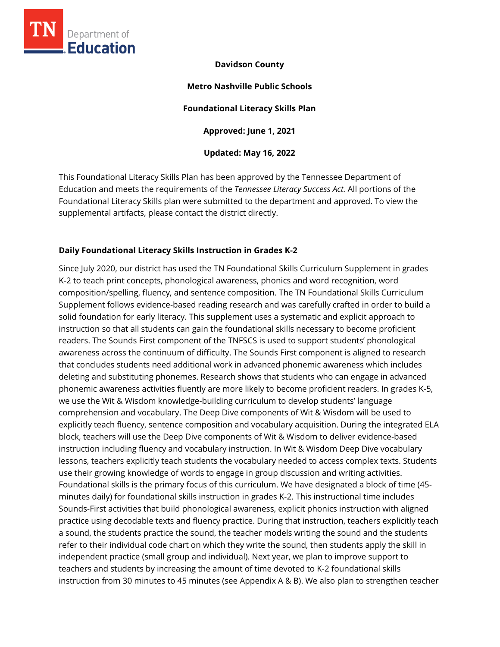

### **Davidson County**

**Metro Nashville Public Schools Foundational Literacy Skills Plan Approved: June 1, 2021 Updated: May 16, 2022**

This Foundational Literacy Skills Plan has been approved by the Tennessee Department of Education and meets the requirements of the *Tennessee Literacy Success Act.* All portions of the Foundational Literacy Skills plan were submitted to the department and approved. To view the supplemental artifacts, please contact the district directly.

## **Daily Foundational Literacy Skills Instruction in Grades K-2**

Since July 2020, our district has used the TN Foundational Skills Curriculum Supplement in grades K-2 to teach print concepts, phonological awareness, phonics and word recognition, word composition/spelling, fluency, and sentence composition. The TN Foundational Skills Curriculum Supplement follows evidence-based reading research and was carefully crafted in order to build a solid foundation for early literacy. This supplement uses a systematic and explicit approach to instruction so that all students can gain the foundational skills necessary to become proficient readers. The Sounds First component of the TNFSCS is used to support students' phonological awareness across the continuum of difficulty. The Sounds First component is aligned to research that concludes students need additional work in advanced phonemic awareness which includes deleting and substituting phonemes. Research shows that students who can engage in advanced phonemic awareness activities fluently are more likely to become proficient readers. In grades K-5, we use the Wit & Wisdom knowledge-building curriculum to develop students' language comprehension and vocabulary. The Deep Dive components of Wit & Wisdom will be used to explicitly teach fluency, sentence composition and vocabulary acquisition. During the integrated ELA block, teachers will use the Deep Dive components of Wit & Wisdom to deliver evidence-based instruction including fluency and vocabulary instruction. In Wit & Wisdom Deep Dive vocabulary lessons, teachers explicitly teach students the vocabulary needed to access complex texts. Students use their growing knowledge of words to engage in group discussion and writing activities. Foundational skills is the primary focus of this curriculum. We have designated a block of time (45 minutes daily) for foundational skills instruction in grades K-2. This instructional time includes Sounds-First activities that build phonological awareness, explicit phonics instruction with aligned practice using decodable texts and fluency practice. During that instruction, teachers explicitly teach a sound, the students practice the sound, the teacher models writing the sound and the students refer to their individual code chart on which they write the sound, then students apply the skill in independent practice (small group and individual). Next year, we plan to improve support to teachers and students by increasing the amount of time devoted to K-2 foundational skills instruction from 30 minutes to 45 minutes (see Appendix A & B). We also plan to strengthen teacher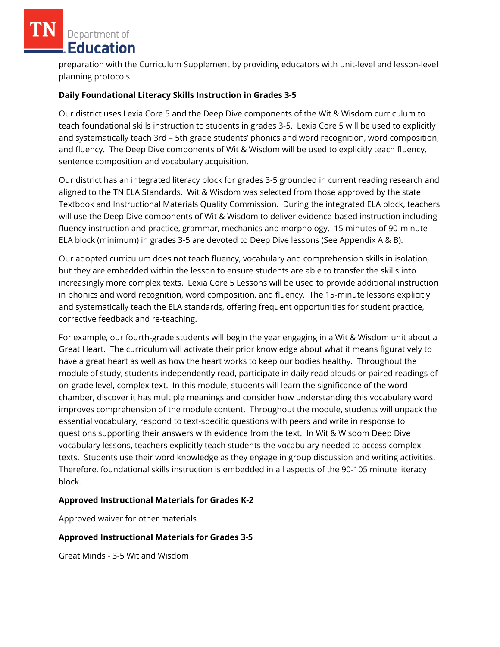preparation with the Curriculum Supplement by providing educators with unit-level and lesson-level planning protocols.

### **Daily Foundational Literacy Skills Instruction in Grades 3-5**

Our district uses Lexia Core 5 and the Deep Dive components of the Wit & Wisdom curriculum to teach foundational skills instruction to students in grades 3-5. Lexia Core 5 will be used to explicitly and systematically teach 3rd – 5th grade students' phonics and word recognition, word composition, and fluency. The Deep Dive components of Wit & Wisdom will be used to explicitly teach fluency, sentence composition and vocabulary acquisition.

Our district has an integrated literacy block for grades 3-5 grounded in current reading research and aligned to the TN ELA Standards. Wit & Wisdom was selected from those approved by the state Textbook and Instructional Materials Quality Commission. During the integrated ELA block, teachers will use the Deep Dive components of Wit & Wisdom to deliver evidence-based instruction including fluency instruction and practice, grammar, mechanics and morphology. 15 minutes of 90-minute ELA block (minimum) in grades 3-5 are devoted to Deep Dive lessons (See Appendix A & B).

Our adopted curriculum does not teach fluency, vocabulary and comprehension skills in isolation, but they are embedded within the lesson to ensure students are able to transfer the skills into increasingly more complex texts. Lexia Core 5 Lessons will be used to provide additional instruction in phonics and word recognition, word composition, and fluency. The 15-minute lessons explicitly and systematically teach the ELA standards, offering frequent opportunities for student practice, corrective feedback and re-teaching.

For example, our fourth-grade students will begin the year engaging in a Wit & Wisdom unit about a Great Heart. The curriculum will activate their prior knowledge about what it means figuratively to have a great heart as well as how the heart works to keep our bodies healthy. Throughout the module of study, students independently read, participate in daily read alouds or paired readings of on-grade level, complex text. In this module, students will learn the significance of the word chamber, discover it has multiple meanings and consider how understanding this vocabulary word improves comprehension of the module content. Throughout the module, students will unpack the essential vocabulary, respond to text-specific questions with peers and write in response to questions supporting their answers with evidence from the text. In Wit & Wisdom Deep Dive vocabulary lessons, teachers explicitly teach students the vocabulary needed to access complex texts. Students use their word knowledge as they engage in group discussion and writing activities. Therefore, foundational skills instruction is embedded in all aspects of the 90-105 minute literacy block.

### **Approved Instructional Materials for Grades K-2**

Approved waiver for other materials

# **Approved Instructional Materials for Grades 3-5**

Great Minds - 3-5 Wit and Wisdom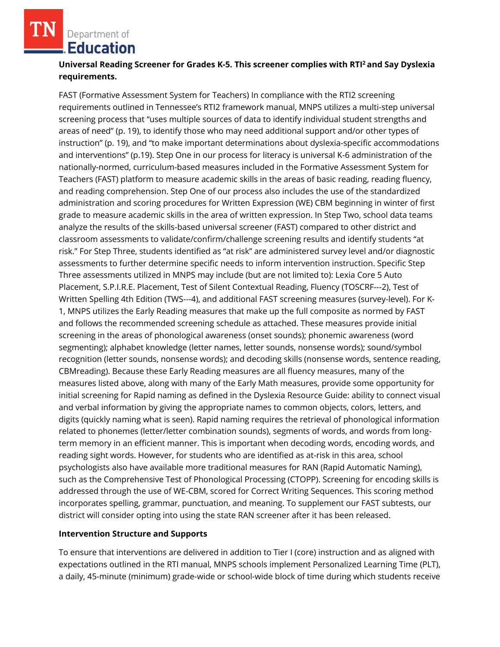# **Universal Reading Screener for Grades K-5. This screener complies with RTI<sup>2</sup>and Say Dyslexia requirements.**

FAST (Formative Assessment System for Teachers) In compliance with the RTI2 screening requirements outlined in Tennessee's RTI2 framework manual, MNPS utilizes a multi-step universal screening process that "uses multiple sources of data to identify individual student strengths and areas of need" (p. 19), to identify those who may need additional support and/or other types of instruction" (p. 19), and "to make important determinations about dyslexia-specific accommodations and interventions" (p.19). Step One in our process for literacy is universal K-6 administration of the nationally-normed, curriculum-based measures included in the Formative Assessment System for Teachers (FAST) platform to measure academic skills in the areas of basic reading, reading fluency, and reading comprehension. Step One of our process also includes the use of the standardized administration and scoring procedures for Written Expression (WE) CBM beginning in winter of first grade to measure academic skills in the area of written expression. In Step Two, school data teams analyze the results of the skills-based universal screener (FAST) compared to other district and classroom assessments to validate/confirm/challenge screening results and identify students "at risk." For Step Three, students identified as "at risk" are administered survey level and/or diagnostic assessments to further determine specific needs to inform intervention instruction. Specific Step Three assessments utilized in MNPS may include (but are not limited to): Lexia Core 5 Auto Placement, S.P.I.R.E. Placement, Test of Silent Contextual Reading, Fluency (TOSCRF---2), Test of Written Spelling 4th Edition (TWS---4), and additional FAST screening measures (survey-level). For K-1, MNPS utilizes the Early Reading measures that make up the full composite as normed by FAST and follows the recommended screening schedule as attached. These measures provide initial screening in the areas of phonological awareness (onset sounds); phonemic awareness (word segmenting); alphabet knowledge (letter names, letter sounds, nonsense words); sound/symbol recognition (letter sounds, nonsense words); and decoding skills (nonsense words, sentence reading, CBMreading). Because these Early Reading measures are all fluency measures, many of the measures listed above, along with many of the Early Math measures, provide some opportunity for initial screening for Rapid naming as defined in the Dyslexia Resource Guide: ability to connect visual and verbal information by giving the appropriate names to common objects, colors, letters, and digits (quickly naming what is seen). Rapid naming requires the retrieval of phonological information related to phonemes (letter/letter combination sounds), segments of words, and words from longterm memory in an efficient manner. This is important when decoding words, encoding words, and reading sight words. However, for students who are identified as at-risk in this area, school psychologists also have available more traditional measures for RAN (Rapid Automatic Naming), such as the Comprehensive Test of Phonological Processing (CTOPP). Screening for encoding skills is addressed through the use of WE-CBM, scored for Correct Writing Sequences. This scoring method incorporates spelling, grammar, punctuation, and meaning. To supplement our FAST subtests, our district will consider opting into using the state RAN screener after it has been released.

#### **Intervention Structure and Supports**

To ensure that interventions are delivered in addition to Tier I (core) instruction and as aligned with expectations outlined in the RTI manual, MNPS schools implement Personalized Learning Time (PLT), a daily, 45-minute (minimum) grade-wide or school-wide block of time during which students receive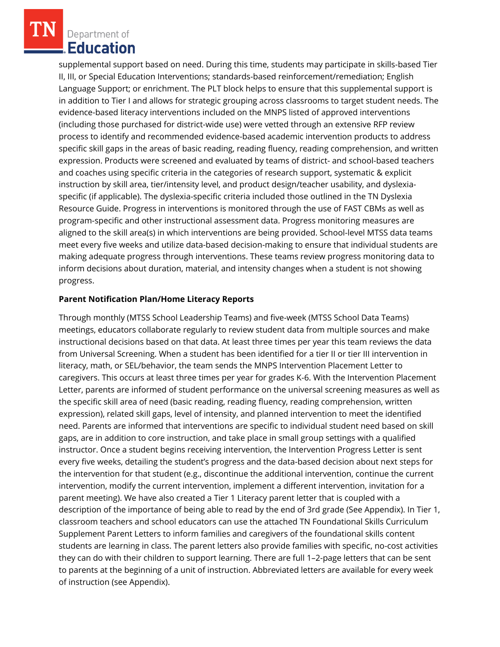supplemental support based on need. During this time, students may participate in skills-based Tier II, III, or Special Education Interventions; standards-based reinforcement/remediation; English Language Support; or enrichment. The PLT block helps to ensure that this supplemental support is in addition to Tier I and allows for strategic grouping across classrooms to target student needs. The evidence-based literacy interventions included on the MNPS listed of approved interventions (including those purchased for district-wide use) were vetted through an extensive RFP review process to identify and recommended evidence-based academic intervention products to address specific skill gaps in the areas of basic reading, reading fluency, reading comprehension, and written expression. Products were screened and evaluated by teams of district- and school-based teachers and coaches using specific criteria in the categories of research support, systematic & explicit instruction by skill area, tier/intensity level, and product design/teacher usability, and dyslexiaspecific (if applicable). The dyslexia-specific criteria included those outlined in the TN Dyslexia Resource Guide. Progress in interventions is monitored through the use of FAST CBMs as well as program-specific and other instructional assessment data. Progress monitoring measures are aligned to the skill area(s) in which interventions are being provided. School-level MTSS data teams meet every five weeks and utilize data-based decision-making to ensure that individual students are making adequate progress through interventions. These teams review progress monitoring data to inform decisions about duration, material, and intensity changes when a student is not showing progress.

### **Parent Notification Plan/Home Literacy Reports**

Through monthly (MTSS School Leadership Teams) and five-week (MTSS School Data Teams) meetings, educators collaborate regularly to review student data from multiple sources and make instructional decisions based on that data. At least three times per year this team reviews the data from Universal Screening. When a student has been identified for a tier II or tier III intervention in literacy, math, or SEL/behavior, the team sends the MNPS Intervention Placement Letter to caregivers. This occurs at least three times per year for grades K-6. With the Intervention Placement Letter, parents are informed of student performance on the universal screening measures as well as the specific skill area of need (basic reading, reading fluency, reading comprehension, written expression), related skill gaps, level of intensity, and planned intervention to meet the identified need. Parents are informed that interventions are specific to individual student need based on skill gaps, are in addition to core instruction, and take place in small group settings with a qualified instructor. Once a student begins receiving intervention, the Intervention Progress Letter is sent every five weeks, detailing the student's progress and the data-based decision about next steps for the intervention for that student (e.g., discontinue the additional intervention, continue the current intervention, modify the current intervention, implement a different intervention, invitation for a parent meeting). We have also created a Tier 1 Literacy parent letter that is coupled with a description of the importance of being able to read by the end of 3rd grade (See Appendix). In Tier 1, classroom teachers and school educators can use the attached TN Foundational Skills Curriculum Supplement Parent Letters to inform families and caregivers of the foundational skills content students are learning in class. The parent letters also provide families with specific, no-cost activities they can do with their children to support learning. There are full 1–2-page letters that can be sent to parents at the beginning of a unit of instruction. Abbreviated letters are available for every week of instruction (see Appendix).